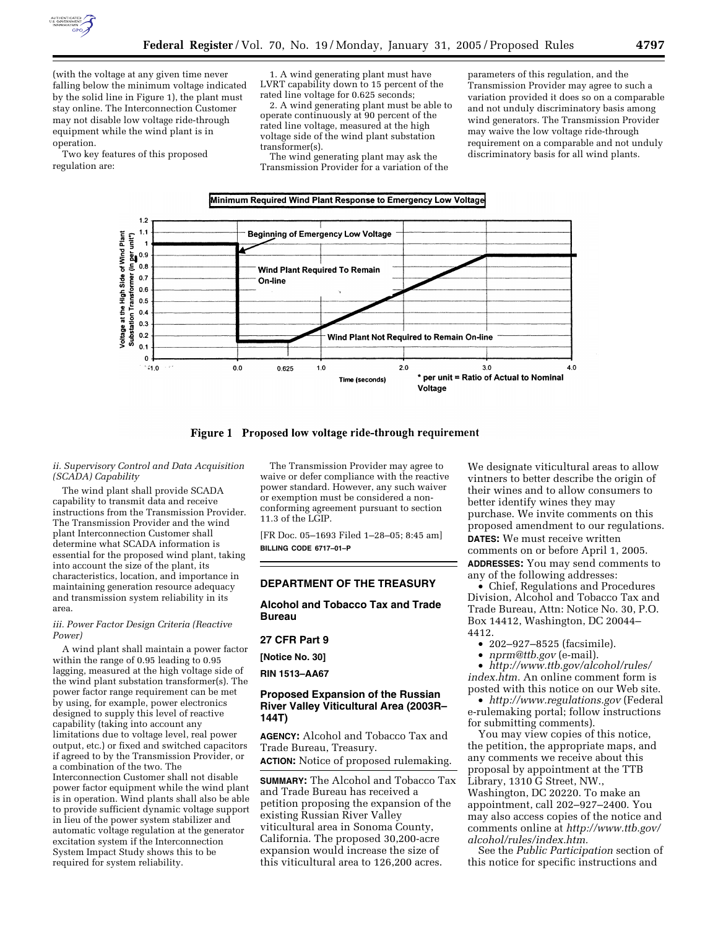

(with the voltage at any given time never falling below the minimum voltage indicated by the solid line in Figure 1), the plant must stay online. The Interconnection Customer may not disable low voltage ride-through equipment while the wind plant is in operation.

Two key features of this proposed regulation are:

1. A wind generating plant must have LVRT capability down to 15 percent of the rated line voltage for 0.625 seconds;

2. A wind generating plant must be able to operate continuously at 90 percent of the rated line voltage, measured at the high voltage side of the wind plant substation transformer(s).

The wind generating plant may ask the Transmission Provider for a variation of the

Minimum Required Wind Plant Response to Emergency Low Voltage

parameters of this regulation, and the Transmission Provider may agree to such a variation provided it does so on a comparable and not unduly discriminatory basis among wind generators. The Transmission Provider may waive the low voltage ride-through requirement on a comparable and not unduly discriminatory basis for all wind plants.



Figure 1 Proposed low voltage ride-through requirement

## *ii. Supervisory Control and Data Acquisition (SCADA) Capability*

The wind plant shall provide SCADA capability to transmit data and receive instructions from the Transmission Provider. The Transmission Provider and the wind plant Interconnection Customer shall determine what SCADA information is essential for the proposed wind plant, taking into account the size of the plant, its characteristics, location, and importance in maintaining generation resource adequacy and transmission system reliability in its area.

## *iii. Power Factor Design Criteria (Reactive Power)*

A wind plant shall maintain a power factor within the range of 0.95 leading to 0.95 lagging, measured at the high voltage side of the wind plant substation transformer(s). The power factor range requirement can be met by using, for example, power electronics designed to supply this level of reactive capability (taking into account any limitations due to voltage level, real power output, etc.) or fixed and switched capacitors if agreed to by the Transmission Provider, or a combination of the two. The Interconnection Customer shall not disable power factor equipment while the wind plant is in operation. Wind plants shall also be able to provide sufficient dynamic voltage support in lieu of the power system stabilizer and automatic voltage regulation at the generator excitation system if the Interconnection System Impact Study shows this to be required for system reliability.

The Transmission Provider may agree to waive or defer compliance with the reactive power standard. However, any such waiver or exemption must be considered a nonconforming agreement pursuant to section 11.3 of the LGIP.

[FR Doc. 05–1693 Filed 1–28–05; 8:45 am] **BILLING CODE 6717–01–P**

# **DEPARTMENT OF THE TREASURY**

# **Alcohol and Tobacco Tax and Trade Bureau**

#### **27 CFR Part 9**

**[Notice No. 30]** 

**RIN 1513–AA67** 

# **Proposed Expansion of the Russian River Valley Viticultural Area (2003R– 144T)**

**AGENCY:** Alcohol and Tobacco Tax and Trade Bureau, Treasury.

**ACTION:** Notice of proposed rulemaking.

**SUMMARY:** The Alcohol and Tobacco Tax and Trade Bureau has received a petition proposing the expansion of the existing Russian River Valley viticultural area in Sonoma County, California. The proposed 30,200-acre expansion would increase the size of this viticultural area to 126,200 acres.

We designate viticultural areas to allow vintners to better describe the origin of their wines and to allow consumers to better identify wines they may purchase. We invite comments on this proposed amendment to our regulations. **DATES:** We must receive written comments on or before April 1, 2005.

**ADDRESSES:** You may send comments to any of the following addresses:

• Chief, Regulations and Procedures Division, Alcohol and Tobacco Tax and Trade Bureau, Attn: Notice No. 30, P.O. Box 14412, Washington, DC 20044– 4412.

- 202–927–8525 (facsimile).
- *nprm@ttb.gov* (e-mail).

• *http://www.ttb.gov/alcohol/rules/ index.htm.* An online comment form is posted with this notice on our Web site.

• *http://www.regulations.gov* (Federal e-rulemaking portal; follow instructions for submitting comments).

You may view copies of this notice, the petition, the appropriate maps, and any comments we receive about this proposal by appointment at the TTB Library, 1310 G Street, NW., Washington, DC 20220. To make an appointment, call 202–927–2400. You may also access copies of the notice and comments online at *http://www.ttb.gov/ alcohol/rules/index.htm.*

See the *Public Participation* section of this notice for specific instructions and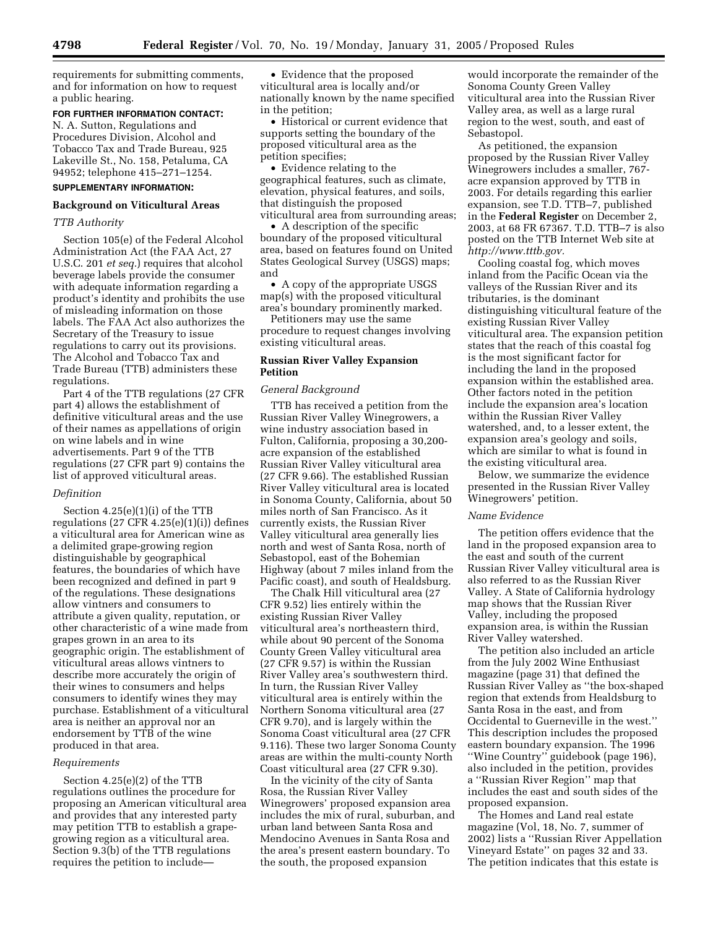requirements for submitting comments, and for information on how to request a public hearing.

## **FOR FURTHER INFORMATION CONTACT:**

N. A. Sutton, Regulations and Procedures Division, Alcohol and Tobacco Tax and Trade Bureau, 925 Lakeville St., No. 158, Petaluma, CA 94952; telephone 415–271–1254.

# **SUPPLEMENTARY INFORMATION:**

## **Background on Viticultural Areas**

# *TTB Authority*

Section 105(e) of the Federal Alcohol Administration Act (the FAA Act, 27 U.S.C. 201 *et seq.*) requires that alcohol beverage labels provide the consumer with adequate information regarding a product's identity and prohibits the use of misleading information on those labels. The FAA Act also authorizes the Secretary of the Treasury to issue regulations to carry out its provisions. The Alcohol and Tobacco Tax and Trade Bureau (TTB) administers these regulations.

Part 4 of the TTB regulations (27 CFR part 4) allows the establishment of definitive viticultural areas and the use of their names as appellations of origin on wine labels and in wine advertisements. Part 9 of the TTB regulations (27 CFR part 9) contains the list of approved viticultural areas.

#### *Definition*

Section 4.25(e)(1)(i) of the TTB regulations  $(27 \text{ CFR } 4.25(e)(1)(i))$  defines a viticultural area for American wine as a delimited grape-growing region distinguishable by geographical features, the boundaries of which have been recognized and defined in part 9 of the regulations. These designations allow vintners and consumers to attribute a given quality, reputation, or other characteristic of a wine made from grapes grown in an area to its geographic origin. The establishment of viticultural areas allows vintners to describe more accurately the origin of their wines to consumers and helps consumers to identify wines they may purchase. Establishment of a viticultural area is neither an approval nor an endorsement by TTB of the wine produced in that area.

#### *Requirements*

Section 4.25(e)(2) of the TTB regulations outlines the procedure for proposing an American viticultural area and provides that any interested party may petition TTB to establish a grapegrowing region as a viticultural area. Section 9.3(b) of the TTB regulations requires the petition to include—

• Evidence that the proposed viticultural area is locally and/or nationally known by the name specified in the petition;

• Historical or current evidence that supports setting the boundary of the proposed viticultural area as the petition specifies;

• Evidence relating to the geographical features, such as climate, elevation, physical features, and soils, that distinguish the proposed viticultural area from surrounding areas;

• A description of the specific boundary of the proposed viticultural area, based on features found on United States Geological Survey (USGS) maps; and

• A copy of the appropriate USGS map(s) with the proposed viticultural area's boundary prominently marked.

Petitioners may use the same procedure to request changes involving existing viticultural areas.

# **Russian River Valley Expansion Petition**

# *General Background*

TTB has received a petition from the Russian River Valley Winegrowers, a wine industry association based in Fulton, California, proposing a 30,200 acre expansion of the established Russian River Valley viticultural area (27 CFR 9.66). The established Russian River Valley viticultural area is located in Sonoma County, California, about 50 miles north of San Francisco. As it currently exists, the Russian River Valley viticultural area generally lies north and west of Santa Rosa, north of Sebastopol, east of the Bohemian Highway (about 7 miles inland from the Pacific coast), and south of Healdsburg.

The Chalk Hill viticultural area (27 CFR 9.52) lies entirely within the existing Russian River Valley viticultural area's northeastern third, while about 90 percent of the Sonoma County Green Valley viticultural area (27 CFR 9.57) is within the Russian River Valley area's southwestern third. In turn, the Russian River Valley viticultural area is entirely within the Northern Sonoma viticultural area (27 CFR 9.70), and is largely within the Sonoma Coast viticultural area (27 CFR 9.116). These two larger Sonoma County areas are within the multi-county North Coast viticultural area (27 CFR 9.30).

In the vicinity of the city of Santa Rosa, the Russian River Valley Winegrowers' proposed expansion area includes the mix of rural, suburban, and urban land between Santa Rosa and Mendocino Avenues in Santa Rosa and the area's present eastern boundary. To the south, the proposed expansion

would incorporate the remainder of the Sonoma County Green Valley viticultural area into the Russian River Valley area, as well as a large rural region to the west, south, and east of Sebastopol.

As petitioned, the expansion proposed by the Russian River Valley Winegrowers includes a smaller, 767 acre expansion approved by TTB in 2003. For details regarding this earlier expansion, see T.D. TTB–7, published in the **Federal Register** on December 2, 2003, at 68 FR 67367. T.D. TTB–7 is also posted on the TTB Internet Web site at *http://www.tttb.gov.*

Cooling coastal fog, which moves inland from the Pacific Ocean via the valleys of the Russian River and its tributaries, is the dominant distinguishing viticultural feature of the existing Russian River Valley viticultural area. The expansion petition states that the reach of this coastal fog is the most significant factor for including the land in the proposed expansion within the established area. Other factors noted in the petition include the expansion area's location within the Russian River Valley watershed, and, to a lesser extent, the expansion area's geology and soils, which are similar to what is found in the existing viticultural area.

Below, we summarize the evidence presented in the Russian River Valley Winegrowers' petition.

## *Name Evidence*

The petition offers evidence that the land in the proposed expansion area to the east and south of the current Russian River Valley viticultural area is also referred to as the Russian River Valley. A State of California hydrology map shows that the Russian River Valley, including the proposed expansion area, is within the Russian River Valley watershed.

The petition also included an article from the July 2002 Wine Enthusiast magazine (page 31) that defined the Russian River Valley as ''the box-shaped region that extends from Healdsburg to Santa Rosa in the east, and from Occidental to Guerneville in the west.'' This description includes the proposed eastern boundary expansion. The 1996 ''Wine Country'' guidebook (page 196), also included in the petition, provides a ''Russian River Region'' map that includes the east and south sides of the proposed expansion.

The Homes and Land real estate magazine (Vol, 18, No. 7, summer of 2002) lists a ''Russian River Appellation Vineyard Estate'' on pages 32 and 33. The petition indicates that this estate is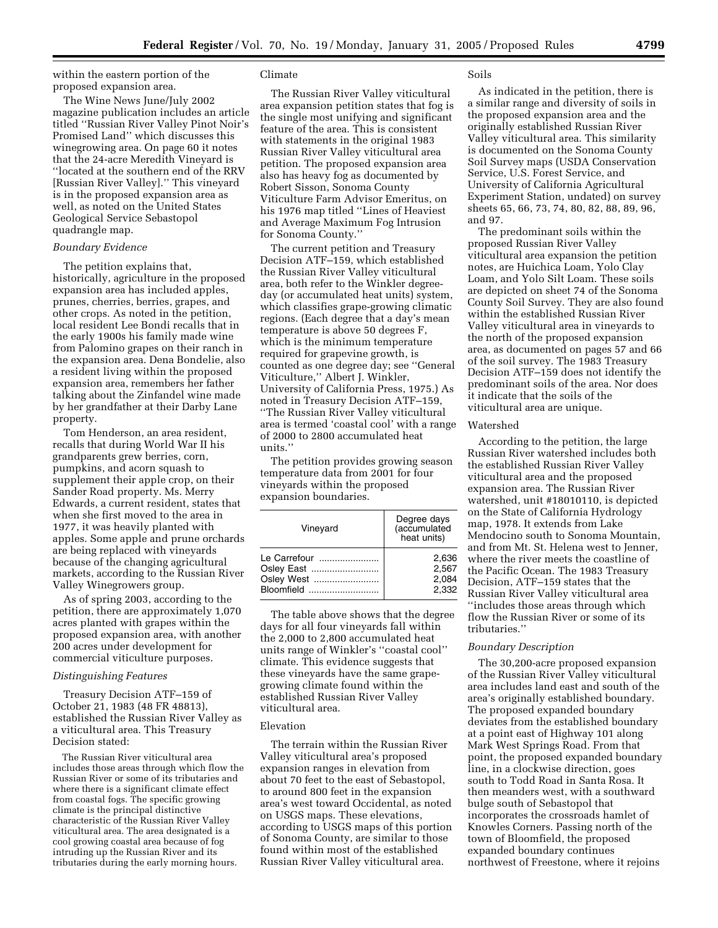within the eastern portion of the proposed expansion area.

The Wine News June/July 2002 magazine publication includes an article titled ''Russian River Valley Pinot Noir's Promised Land'' which discusses this winegrowing area. On page 60 it notes that the 24-acre Meredith Vineyard is ''located at the southern end of the RRV [Russian River Valley].'' This vineyard is in the proposed expansion area as well, as noted on the United States Geological Service Sebastopol quadrangle map.

## *Boundary Evidence*

The petition explains that, historically, agriculture in the proposed expansion area has included apples, prunes, cherries, berries, grapes, and other crops. As noted in the petition, local resident Lee Bondi recalls that in the early 1900s his family made wine from Palomino grapes on their ranch in the expansion area. Dena Bondelie, also a resident living within the proposed expansion area, remembers her father talking about the Zinfandel wine made by her grandfather at their Darby Lane property.

Tom Henderson, an area resident, recalls that during World War II his grandparents grew berries, corn, pumpkins, and acorn squash to supplement their apple crop, on their Sander Road property. Ms. Merry Edwards, a current resident, states that when she first moved to the area in 1977, it was heavily planted with apples. Some apple and prune orchards are being replaced with vineyards because of the changing agricultural markets, according to the Russian River Valley Winegrowers group.

As of spring 2003, according to the petition, there are approximately 1,070 acres planted with grapes within the proposed expansion area, with another 200 acres under development for commercial viticulture purposes.

# *Distinguishing Features*

Treasury Decision ATF–159 of October 21, 1983 (48 FR 48813), established the Russian River Valley as a viticultural area. This Treasury Decision stated:

The Russian River viticultural area includes those areas through which flow the Russian River or some of its tributaries and where there is a significant climate effect from coastal fogs. The specific growing climate is the principal distinctive characteristic of the Russian River Valley viticultural area. The area designated is a cool growing coastal area because of fog intruding up the Russian River and its tributaries during the early morning hours.

## Climate

The Russian River Valley viticultural area expansion petition states that fog is the single most unifying and significant feature of the area. This is consistent with statements in the original 1983 Russian River Valley viticultural area petition. The proposed expansion area also has heavy fog as documented by Robert Sisson, Sonoma County Viticulture Farm Advisor Emeritus, on his 1976 map titled ''Lines of Heaviest and Average Maximum Fog Intrusion for Sonoma County.''

The current petition and Treasury Decision ATF–159, which established the Russian River Valley viticultural area, both refer to the Winkler degreeday (or accumulated heat units) system, which classifies grape-growing climatic regions. (Each degree that a day's mean temperature is above 50 degrees F, which is the minimum temperature required for grapevine growth, is counted as one degree day; see ''General Viticulture,'' Albert J. Winkler, University of California Press, 1975.) As noted in Treasury Decision ATF–159, ''The Russian River Valley viticultural area is termed 'coastal cool' with a range of 2000 to 2800 accumulated heat units.''

The petition provides growing season temperature data from 2001 for four vineyards within the proposed expansion boundaries.

| Vineyard     | Degree days<br>(accumulated<br>heat units) |
|--------------|--------------------------------------------|
| Le Carrefour | 2,636                                      |
| Osley East   | 2,567                                      |
| Osley West   | 2,084                                      |
| Bloomfield   | 2.332                                      |

The table above shows that the degree days for all four vineyards fall within the 2,000 to 2,800 accumulated heat units range of Winkler's ''coastal cool'' climate. This evidence suggests that these vineyards have the same grapegrowing climate found within the established Russian River Valley viticultural area.

# Elevation

The terrain within the Russian River Valley viticultural area's proposed expansion ranges in elevation from about 70 feet to the east of Sebastopol, to around 800 feet in the expansion area's west toward Occidental, as noted on USGS maps. These elevations, according to USGS maps of this portion of Sonoma County, are similar to those found within most of the established Russian River Valley viticultural area.

# Soils

As indicated in the petition, there is a similar range and diversity of soils in the proposed expansion area and the originally established Russian River Valley viticultural area. This similarity is documented on the Sonoma County Soil Survey maps (USDA Conservation Service, U.S. Forest Service, and University of California Agricultural Experiment Station, undated) on survey sheets 65, 66, 73, 74, 80, 82, 88, 89, 96, and 97.

The predominant soils within the proposed Russian River Valley viticultural area expansion the petition notes, are Huichica Loam, Yolo Clay Loam, and Yolo Silt Loam. These soils are depicted on sheet 74 of the Sonoma County Soil Survey. They are also found within the established Russian River Valley viticultural area in vineyards to the north of the proposed expansion area, as documented on pages 57 and 66 of the soil survey. The 1983 Treasury Decision ATF–159 does not identify the predominant soils of the area. Nor does it indicate that the soils of the viticultural area are unique.

#### Watershed

According to the petition, the large Russian River watershed includes both the established Russian River Valley viticultural area and the proposed expansion area. The Russian River watershed, unit #18010110, is depicted on the State of California Hydrology map, 1978. It extends from Lake Mendocino south to Sonoma Mountain, and from Mt. St. Helena west to Jenner, where the river meets the coastline of the Pacific Ocean. The 1983 Treasury Decision, ATF–159 states that the Russian River Valley viticultural area ''includes those areas through which flow the Russian River or some of its tributaries.''

# *Boundary Description*

The 30,200-acre proposed expansion of the Russian River Valley viticultural area includes land east and south of the area's originally established boundary. The proposed expanded boundary deviates from the established boundary at a point east of Highway 101 along Mark West Springs Road. From that point, the proposed expanded boundary line, in a clockwise direction, goes south to Todd Road in Santa Rosa. It then meanders west, with a southward bulge south of Sebastopol that incorporates the crossroads hamlet of Knowles Corners. Passing north of the town of Bloomfield, the proposed expanded boundary continues northwest of Freestone, where it rejoins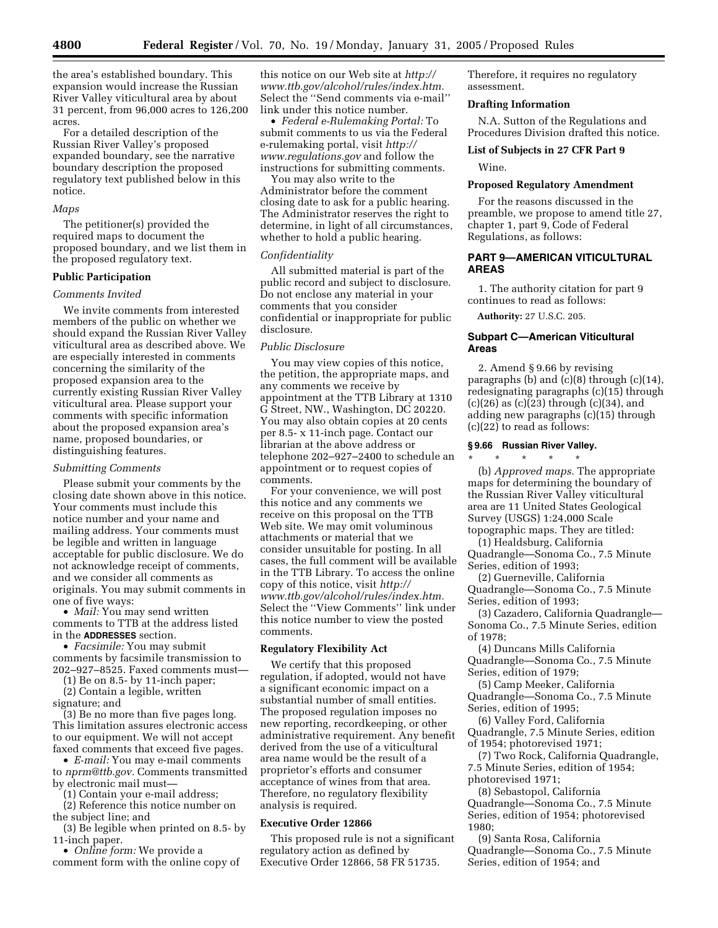the area's established boundary. This expansion would increase the Russian River Valley viticultural area by about 31 percent, from 96,000 acres to 126,200 acres.

For a detailed description of the Russian River Valley's proposed expanded boundary, see the narrative boundary description the proposed regulatory text published below in this notice.

#### *Maps*

The petitioner(s) provided the required maps to document the proposed boundary, and we list them in the proposed regulatory text.

# **Public Participation**

#### *Comments Invited*

We invite comments from interested members of the public on whether we should expand the Russian River Valley viticultural area as described above. We are especially interested in comments concerning the similarity of the proposed expansion area to the currently existing Russian River Valley viticultural area. Please support your comments with specific information about the proposed expansion area's name, proposed boundaries, or distinguishing features.

## *Submitting Comments*

Please submit your comments by the closing date shown above in this notice. Your comments must include this notice number and your name and mailing address. Your comments must be legible and written in language acceptable for public disclosure. We do not acknowledge receipt of comments, and we consider all comments as originals. You may submit comments in one of five ways:

• *Mail:* You may send written comments to TTB at the address listed in the **ADDRESSES** section.

• *Facsimile:* You may submit comments by facsimile transmission to 202–927–8525. Faxed comments must—

(1) Be on 8.5- by 11-inch paper;

(2) Contain a legible, written signature; and

(3) Be no more than five pages long. This limitation assures electronic access to our equipment. We will not accept faxed comments that exceed five pages.

• *E-mail:* You may e-mail comments to *nprm@ttb.gov.* Comments transmitted by electronic mail must—

(1) Contain your e-mail address;

(2) Reference this notice number on the subject line; and

(3) Be legible when printed on 8.5- by 11-inch paper.

• *Online form:* We provide a comment form with the online copy of

this notice on our Web site at *http:// www.ttb.gov/alcohol/rules/index.htm.* Select the ''Send comments via e-mail'' link under this notice number.

• *Federal e-Rulemaking Portal:* To submit comments to us via the Federal e-rulemaking portal, visit *http:// www.regulations.gov* and follow the instructions for submitting comments.

You may also write to the Administrator before the comment closing date to ask for a public hearing. The Administrator reserves the right to determine, in light of all circumstances, whether to hold a public hearing.

# *Confidentiality*

All submitted material is part of the public record and subject to disclosure. Do not enclose any material in your comments that you consider confidential or inappropriate for public disclosure.

### *Public Disclosure*

You may view copies of this notice, the petition, the appropriate maps, and any comments we receive by appointment at the TTB Library at 1310 G Street, NW., Washington, DC 20220. You may also obtain copies at 20 cents per 8.5- x 11-inch page. Contact our librarian at the above address or telephone 202–927–2400 to schedule an appointment or to request copies of comments.

For your convenience, we will post this notice and any comments we receive on this proposal on the TTB Web site. We may omit voluminous attachments or material that we consider unsuitable for posting. In all cases, the full comment will be available in the TTB Library. To access the online copy of this notice, visit *http:// www.ttb.gov/alcohol/rules/index.htm.* Select the ''View Comments'' link under this notice number to view the posted comments.

# **Regulatory Flexibility Act**

We certify that this proposed regulation, if adopted, would not have a significant economic impact on a substantial number of small entities. The proposed regulation imposes no new reporting, recordkeeping, or other administrative requirement. Any benefit derived from the use of a viticultural area name would be the result of a proprietor's efforts and consumer acceptance of wines from that area. Therefore, no regulatory flexibility analysis is required.

## **Executive Order 12866**

This proposed rule is not a significant regulatory action as defined by Executive Order 12866, 58 FR 51735.

Therefore, it requires no regulatory assessment.

## **Drafting Information**

N.A. Sutton of the Regulations and Procedures Division drafted this notice.

#### **List of Subjects in 27 CFR Part 9**

Wine.

## **Proposed Regulatory Amendment**

For the reasons discussed in the preamble, we propose to amend title 27, chapter 1, part 9, Code of Federal Regulations, as follows:

# **PART 9—AMERICAN VITICULTURAL AREAS**

1. The authority citation for part 9 continues to read as follows:

**Authority:** 27 U.S.C. 205.

# **Subpart C—American Viticultural Areas**

2. Amend § 9.66 by revising paragraphs (b) and (c)(8) through (c)(14), redesignating paragraphs (c)(15) through  $(c)(26)$  as  $(c)(23)$  through  $(c)(34)$ , and adding new paragraphs (c)(15) through (c)(22) to read as follows:

# **§ 9.66 Russian River Valley.**

\* \* \* \* \* (b) *Approved maps.* The appropriate maps for determining the boundary of the Russian River Valley viticultural area are 11 United States Geological Survey (USGS) 1:24,000 Scale topographic maps. They are titled:

(1) Healdsburg, California Quadrangle—Sonoma Co., 7.5 Minute Series, edition of 1993;

(2) Guerneville, California Quadrangle—Sonoma Co., 7.5 Minute Series, edition of 1993;

(3) Cazadero, California Quadrangle— Sonoma Co., 7.5 Minute Series, edition of 1978;

(4) Duncans Mills California Quadrangle—Sonoma Co., 7.5 Minute Series, edition of 1979;

(5) Camp Meeker, California Quadrangle—Sonoma Co., 7.5 Minute Series, edition of 1995;

(6) Valley Ford, California Quadrangle, 7.5 Minute Series, edition of 1954; photorevised 1971;

(7) Two Rock, California Quadrangle, 7.5 Minute Series, edition of 1954; photorevised 1971;

(8) Sebastopol, California Quadrangle—Sonoma Co., 7.5 Minute Series, edition of 1954; photorevised 1980;

(9) Santa Rosa, California Quadrangle—Sonoma Co., 7.5 Minute Series, edition of 1954; and